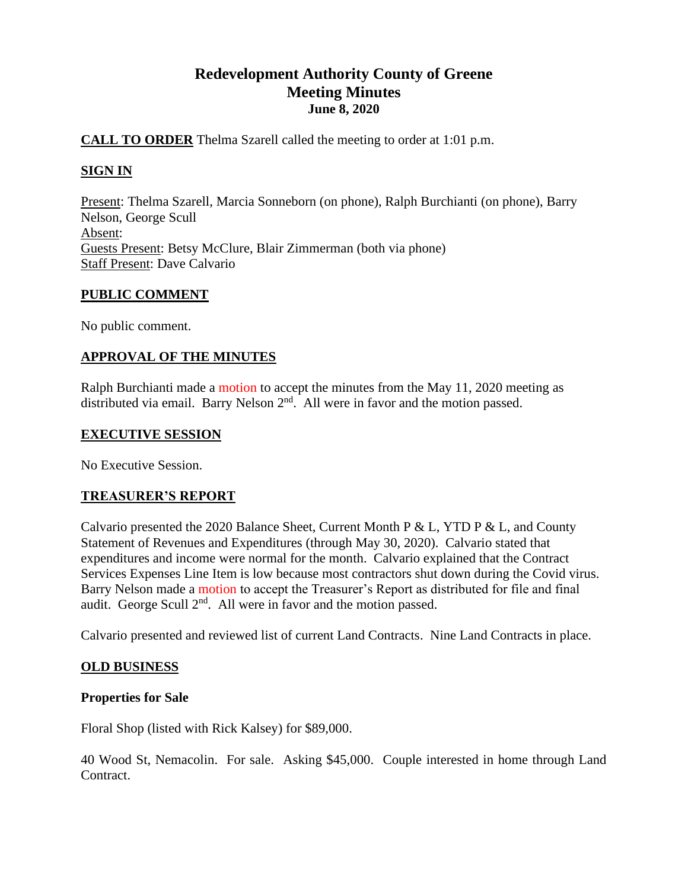## **Redevelopment Authority County of Greene Meeting Minutes June 8, 2020**

## **CALL TO ORDER** Thelma Szarell called the meeting to order at 1:01 p.m.

## **SIGN IN**

Present: Thelma Szarell, Marcia Sonneborn (on phone), Ralph Burchianti (on phone), Barry Nelson, George Scull Absent: Guests Present: Betsy McClure, Blair Zimmerman (both via phone) Staff Present: Dave Calvario

## **PUBLIC COMMENT**

No public comment.

## **APPROVAL OF THE MINUTES**

Ralph Burchianti made a motion to accept the minutes from the May 11, 2020 meeting as distributed via email. Barry Nelson  $2<sup>nd</sup>$ . All were in favor and the motion passed.

#### **EXECUTIVE SESSION**

No Executive Session.

#### **TREASURER'S REPORT**

Calvario presented the 2020 Balance Sheet, Current Month P & L, YTD P & L, and County Statement of Revenues and Expenditures (through May 30, 2020). Calvario stated that expenditures and income were normal for the month. Calvario explained that the Contract Services Expenses Line Item is low because most contractors shut down during the Covid virus. Barry Nelson made a motion to accept the Treasurer's Report as distributed for file and final audit. George Scull  $2<sup>nd</sup>$ . All were in favor and the motion passed.

Calvario presented and reviewed list of current Land Contracts. Nine Land Contracts in place.

#### **OLD BUSINESS**

#### **Properties for Sale**

Floral Shop (listed with Rick Kalsey) for \$89,000.

40 Wood St, Nemacolin. For sale. Asking \$45,000. Couple interested in home through Land Contract.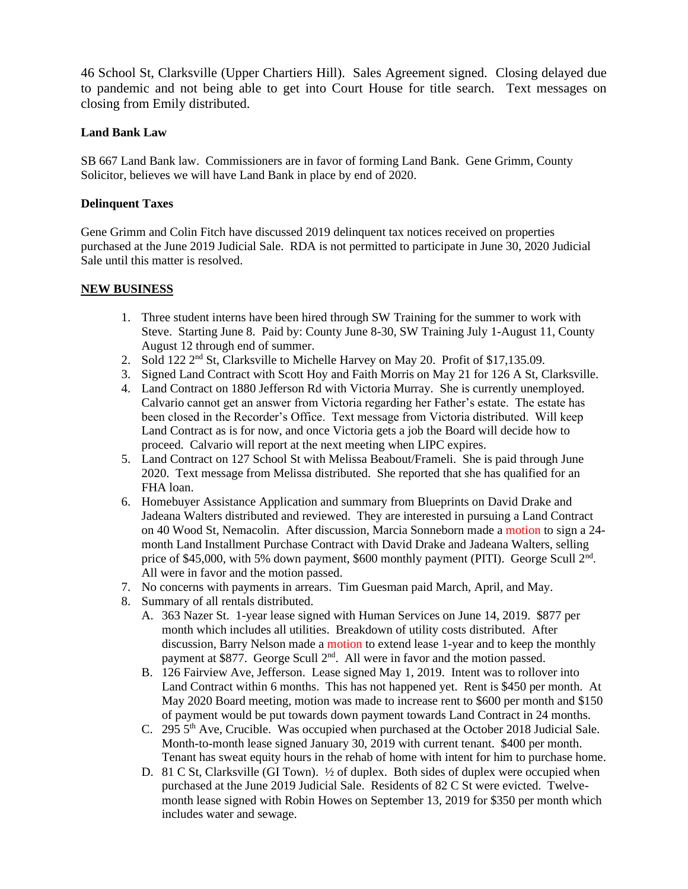46 School St, Clarksville (Upper Chartiers Hill). Sales Agreement signed. Closing delayed due to pandemic and not being able to get into Court House for title search. Text messages on closing from Emily distributed.

#### **Land Bank Law**

SB 667 Land Bank law. Commissioners are in favor of forming Land Bank. Gene Grimm, County Solicitor, believes we will have Land Bank in place by end of 2020.

#### **Delinquent Taxes**

Gene Grimm and Colin Fitch have discussed 2019 delinquent tax notices received on properties purchased at the June 2019 Judicial Sale. RDA is not permitted to participate in June 30, 2020 Judicial Sale until this matter is resolved.

#### **NEW BUSINESS**

- 1. Three student interns have been hired through SW Training for the summer to work with Steve. Starting June 8. Paid by: County June 8-30, SW Training July 1-August 11, County August 12 through end of summer.
- 2. Sold 122  $2<sup>nd</sup>$  St, Clarksville to Michelle Harvey on May 20. Profit of \$17,135.09.
- 3. Signed Land Contract with Scott Hoy and Faith Morris on May 21 for 126 A St, Clarksville.
- 4. Land Contract on 1880 Jefferson Rd with Victoria Murray. She is currently unemployed. Calvario cannot get an answer from Victoria regarding her Father's estate. The estate has been closed in the Recorder's Office. Text message from Victoria distributed. Will keep Land Contract as is for now, and once Victoria gets a job the Board will decide how to proceed. Calvario will report at the next meeting when LIPC expires.
- 5. Land Contract on 127 School St with Melissa Beabout/Frameli. She is paid through June 2020. Text message from Melissa distributed. She reported that she has qualified for an FHA loan.
- 6. Homebuyer Assistance Application and summary from Blueprints on David Drake and Jadeana Walters distributed and reviewed. They are interested in pursuing a Land Contract on 40 Wood St, Nemacolin. After discussion, Marcia Sonneborn made a motion to sign a 24 month Land Installment Purchase Contract with David Drake and Jadeana Walters, selling price of \$45,000, with 5% down payment, \$600 monthly payment (PITI). George Scull 2<sup>nd</sup>. All were in favor and the motion passed.
- 7. No concerns with payments in arrears. Tim Guesman paid March, April, and May.
- 8. Summary of all rentals distributed.
	- A. 363 Nazer St. 1-year lease signed with Human Services on June 14, 2019. \$877 per month which includes all utilities. Breakdown of utility costs distributed. After discussion, Barry Nelson made a motion to extend lease 1-year and to keep the monthly payment at \$877. George Scull 2<sup>nd</sup>. All were in favor and the motion passed.
	- B. 126 Fairview Ave, Jefferson. Lease signed May 1, 2019. Intent was to rollover into Land Contract within 6 months. This has not happened yet. Rent is \$450 per month. At May 2020 Board meeting, motion was made to increase rent to \$600 per month and \$150 of payment would be put towards down payment towards Land Contract in 24 months.
	- C. 295 5<sup>th</sup> Ave, Crucible. Was occupied when purchased at the October 2018 Judicial Sale. Month-to-month lease signed January 30, 2019 with current tenant. \$400 per month. Tenant has sweat equity hours in the rehab of home with intent for him to purchase home.
	- D. 81 C St, Clarksville (GI Town).  $\frac{1}{2}$  of duplex. Both sides of duplex were occupied when purchased at the June 2019 Judicial Sale. Residents of 82 C St were evicted. Twelvemonth lease signed with Robin Howes on September 13, 2019 for \$350 per month which includes water and sewage.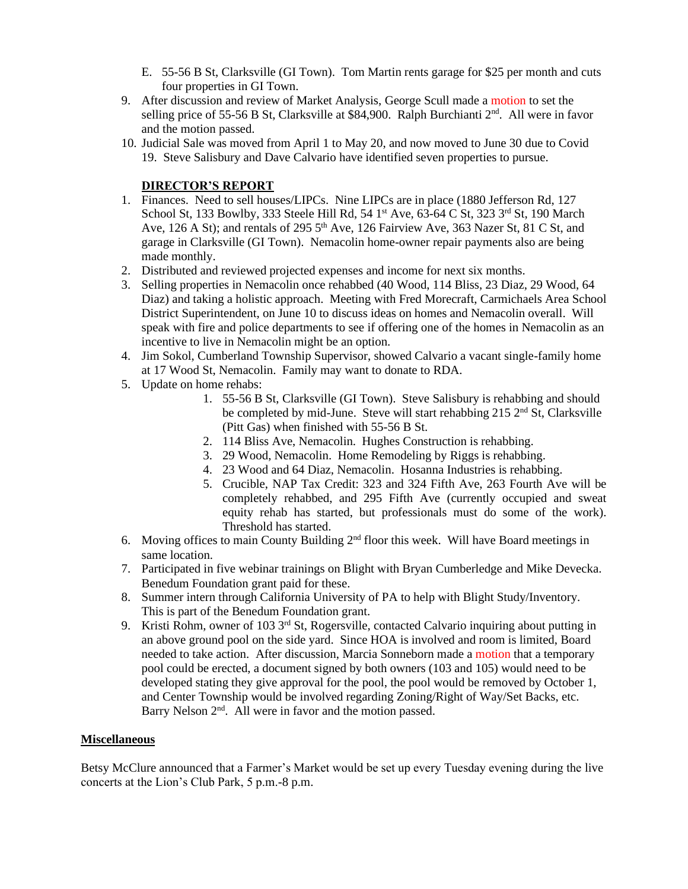- E. 55-56 B St, Clarksville (GI Town). Tom Martin rents garage for \$25 per month and cuts four properties in GI Town.
- 9. After discussion and review of Market Analysis, George Scull made a motion to set the selling price of 55-56 B St, Clarksville at \$84,900. Ralph Burchianti  $2<sup>nd</sup>$ . All were in favor and the motion passed.
- 10. Judicial Sale was moved from April 1 to May 20, and now moved to June 30 due to Covid 19. Steve Salisbury and Dave Calvario have identified seven properties to pursue.

#### **DIRECTOR'S REPORT**

- 1. Finances. Need to sell houses/LIPCs. Nine LIPCs are in place (1880 Jefferson Rd, 127 School St, 133 Bowlby, 333 Steele Hill Rd, 54 1<sup>st</sup> Ave, 63-64 C St, 323 3<sup>rd</sup> St, 190 March Ave, 126 A St); and rentals of 295 5<sup>th</sup> Ave, 126 Fairview Ave, 363 Nazer St, 81 C St, and garage in Clarksville (GI Town). Nemacolin home-owner repair payments also are being made monthly.
- 2. Distributed and reviewed projected expenses and income for next six months.
- 3. Selling properties in Nemacolin once rehabbed (40 Wood, 114 Bliss, 23 Diaz, 29 Wood, 64 Diaz) and taking a holistic approach. Meeting with Fred Morecraft, Carmichaels Area School District Superintendent, on June 10 to discuss ideas on homes and Nemacolin overall. Will speak with fire and police departments to see if offering one of the homes in Nemacolin as an incentive to live in Nemacolin might be an option.
- 4. Jim Sokol, Cumberland Township Supervisor, showed Calvario a vacant single-family home at 17 Wood St, Nemacolin. Family may want to donate to RDA.
- 5. Update on home rehabs:
	- 1. 55-56 B St, Clarksville (GI Town). Steve Salisbury is rehabbing and should be completed by mid-June. Steve will start rehabbing 215 2<sup>nd</sup> St, Clarksville (Pitt Gas) when finished with 55-56 B St.
	- 2. 114 Bliss Ave, Nemacolin. Hughes Construction is rehabbing.
	- 3. 29 Wood, Nemacolin. Home Remodeling by Riggs is rehabbing.
	- 4. 23 Wood and 64 Diaz, Nemacolin. Hosanna Industries is rehabbing.
	- 5. Crucible, NAP Tax Credit: 323 and 324 Fifth Ave, 263 Fourth Ave will be completely rehabbed, and 295 Fifth Ave (currently occupied and sweat equity rehab has started, but professionals must do some of the work). Threshold has started.
- 6. Moving offices to main County Building 2nd floor this week. Will have Board meetings in same location.
- 7. Participated in five webinar trainings on Blight with Bryan Cumberledge and Mike Devecka. Benedum Foundation grant paid for these.
- 8. Summer intern through California University of PA to help with Blight Study/Inventory. This is part of the Benedum Foundation grant.
- 9. Kristi Rohm, owner of 103 3<sup>rd</sup> St, Rogersville, contacted Calvario inquiring about putting in an above ground pool on the side yard. Since HOA is involved and room is limited, Board needed to take action. After discussion, Marcia Sonneborn made a motion that a temporary pool could be erected, a document signed by both owners (103 and 105) would need to be developed stating they give approval for the pool, the pool would be removed by October 1, and Center Township would be involved regarding Zoning/Right of Way/Set Backs, etc. Barry Nelson  $2<sup>nd</sup>$ . All were in favor and the motion passed.

#### **Miscellaneous**

Betsy McClure announced that a Farmer's Market would be set up every Tuesday evening during the live concerts at the Lion's Club Park, 5 p.m.-8 p.m.